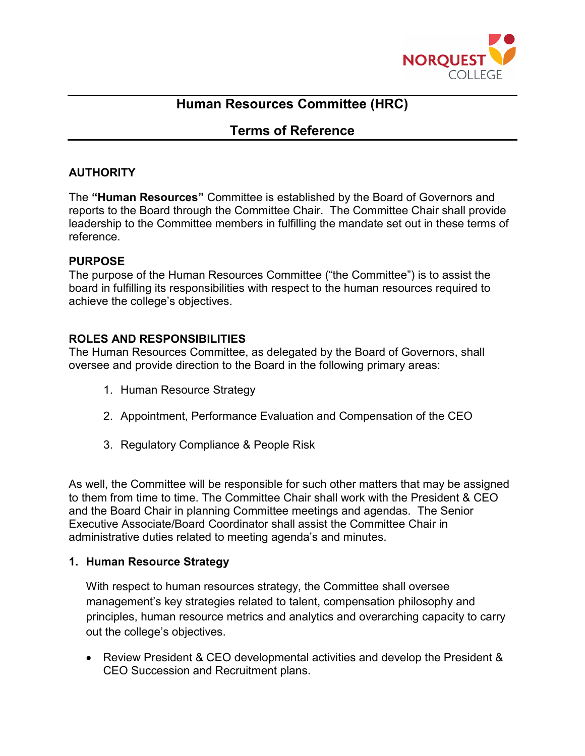

# **Human Resources Committee (HRC)**

## **Terms of Reference**

## **AUTHORITY**

The **"Human Resources"** Committee is established by the Board of Governors and reports to the Board through the Committee Chair. The Committee Chair shall provide leadership to the Committee members in fulfilling the mandate set out in these terms of reference.

#### **PURPOSE**

The purpose of the Human Resources Committee ("the Committee") is to assist the board in fulfilling its responsibilities with respect to the human resources required to achieve the college's objectives.

## **ROLES AND RESPONSIBILITIES**

The Human Resources Committee, as delegated by the Board of Governors, shall oversee and provide direction to the Board in the following primary areas:

- 1. Human Resource Strategy
- 2. Appointment, Performance Evaluation and Compensation of the CEO
- 3. Regulatory Compliance & People Risk

As well, the Committee will be responsible for such other matters that may be assigned to them from time to time. The Committee Chair shall work with the President & CEO and the Board Chair in planning Committee meetings and agendas. The Senior Executive Associate/Board Coordinator shall assist the Committee Chair in administrative duties related to meeting agenda's and minutes.

#### **1. Human Resource Strategy**

With respect to human resources strategy, the Committee shall oversee management's key strategies related to talent, compensation philosophy and principles, human resource metrics and analytics and overarching capacity to carry out the college's objectives.

• Review President & CEO developmental activities and develop the President & CEO Succession and Recruitment plans.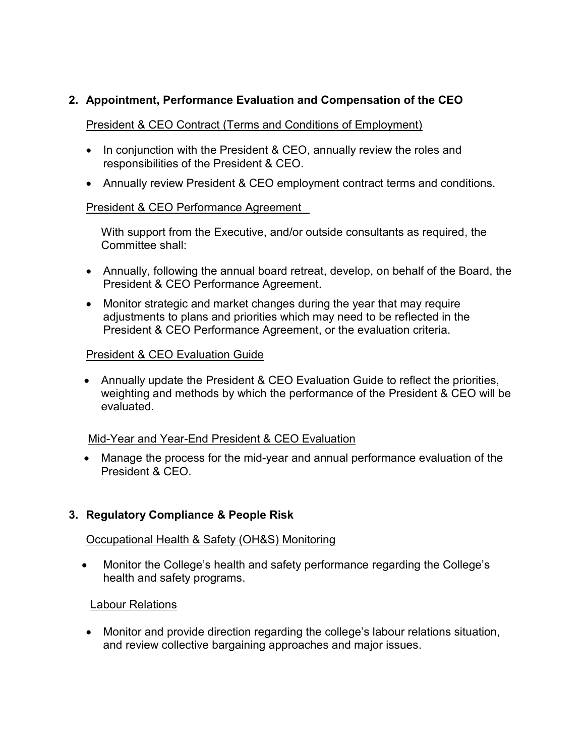## **2. Appointment, Performance Evaluation and Compensation of the CEO**

#### President & CEO Contract (Terms and Conditions of Employment)

- In conjunction with the President & CEO, annually review the roles and responsibilities of the President & CEO.
- Annually review President & CEO employment contract terms and conditions.

#### President & CEO Performance Agreement

With support from the Executive, and/or outside consultants as required, the Committee shall:

- Annually, following the annual board retreat, develop, on behalf of the Board, the President & CEO Performance Agreement.
- Monitor strategic and market changes during the year that may require adjustments to plans and priorities which may need to be reflected in the President & CEO Performance Agreement, or the evaluation criteria.

#### President & CEO Evaluation Guide

• Annually update the President & CEO Evaluation Guide to reflect the priorities, weighting and methods by which the performance of the President & CEO will be evaluated.

#### Mid-Year and Year-End President & CEO Evaluation

• Manage the process for the mid-year and annual performance evaluation of the President & CEO.

#### **3. Regulatory Compliance & People Risk**

#### Occupational Health & Safety (OH&S) Monitoring

• Monitor the College's health and safety performance regarding the College's health and safety programs.

#### Labour Relations

• Monitor and provide direction regarding the college's labour relations situation, and review collective bargaining approaches and major issues.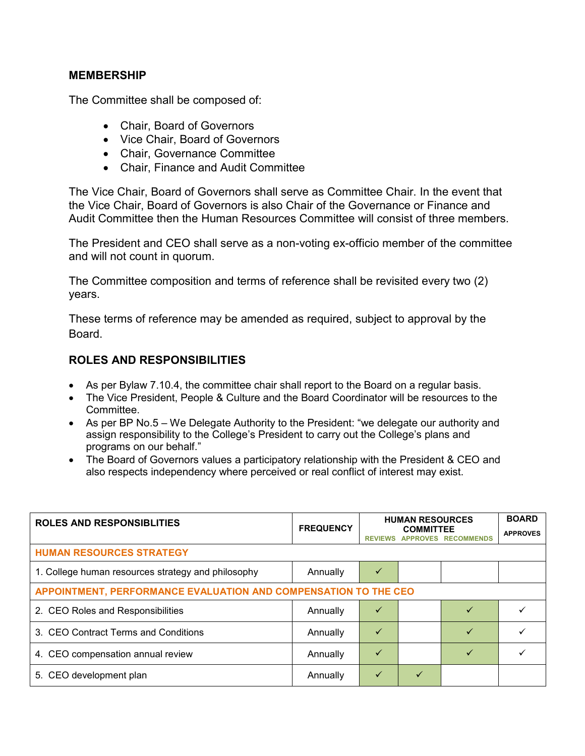#### **MEMBERSHIP**

The Committee shall be composed of:

- Chair, Board of Governors
- Vice Chair, Board of Governors
- Chair, Governance Committee
- Chair, Finance and Audit Committee

The Vice Chair, Board of Governors shall serve as Committee Chair. In the event that the Vice Chair, Board of Governors is also Chair of the Governance or Finance and Audit Committee then the Human Resources Committee will consist of three members.

The President and CEO shall serve as a non-voting ex-officio member of the committee and will not count in quorum.

The Committee composition and terms of reference shall be revisited every two (2) years.

These terms of reference may be amended as required, subject to approval by the Board.

#### **ROLES AND RESPONSIBILITIES**

- As per Bylaw 7.10.4, the committee chair shall report to the Board on a regular basis.
- The Vice President, People & Culture and the Board Coordinator will be resources to the Committee.
- As per BP No.5 We Delegate Authority to the President: "we delegate our authority and assign responsibility to the College's President to carry out the College's plans and programs on our behalf."
- The Board of Governors values a participatory relationship with the President & CEO and also respects independency where perceived or real conflict of interest may exist.

| <b>ROLES AND RESPONSIBLITIES</b>                                | <b>FREQUENCY</b> | <b>HUMAN RESOURCES</b> | <b>BOARD</b> |                            |                 |  |
|-----------------------------------------------------------------|------------------|------------------------|--------------|----------------------------|-----------------|--|
|                                                                 |                  | <b>REVIEWS</b>         |              | <b>APPROVES RECOMMENDS</b> | <b>APPROVES</b> |  |
| <b>HUMAN RESOURCES STRATEGY</b>                                 |                  |                        |              |                            |                 |  |
| 1. College human resources strategy and philosophy              | Annually         |                        |              |                            |                 |  |
| APPOINTMENT, PERFORMANCE EVALUATION AND COMPENSATION TO THE CEO |                  |                        |              |                            |                 |  |
| 2. CEO Roles and Responsibilities                               | Annually         | $\checkmark$           |              | ✓                          |                 |  |
| 3. CEO Contract Terms and Conditions                            | Annually         | $\checkmark$           |              |                            |                 |  |
| 4. CEO compensation annual review                               | Annually         | $\checkmark$           |              |                            |                 |  |
| 5. CEO development plan                                         | Annually         | $\checkmark$           | ✓            |                            |                 |  |